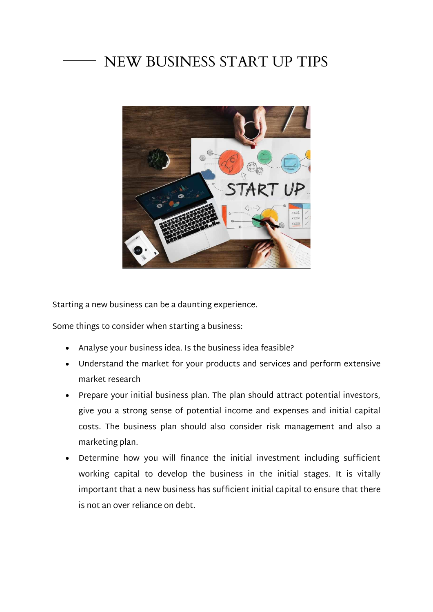## NEW BUSINESS START UP TIPS



Starting a new business can be a daunting experience.

Some things to consider when starting a business:

- Analyse your business idea. Is the business idea feasible?
- Understand the market for your products and services and perform extensive market research
- Prepare your initial business plan. The plan should attract potential investors, give you a strong sense of potential income and expenses and initial capital costs. The business plan should also consider risk management and also a marketing plan.
- Determine how you will finance the initial investment including sufficient working capital to develop the business in the initial stages. It is vitally important that a new business has sufficient initial capital to ensure that there is not an over reliance on debt.